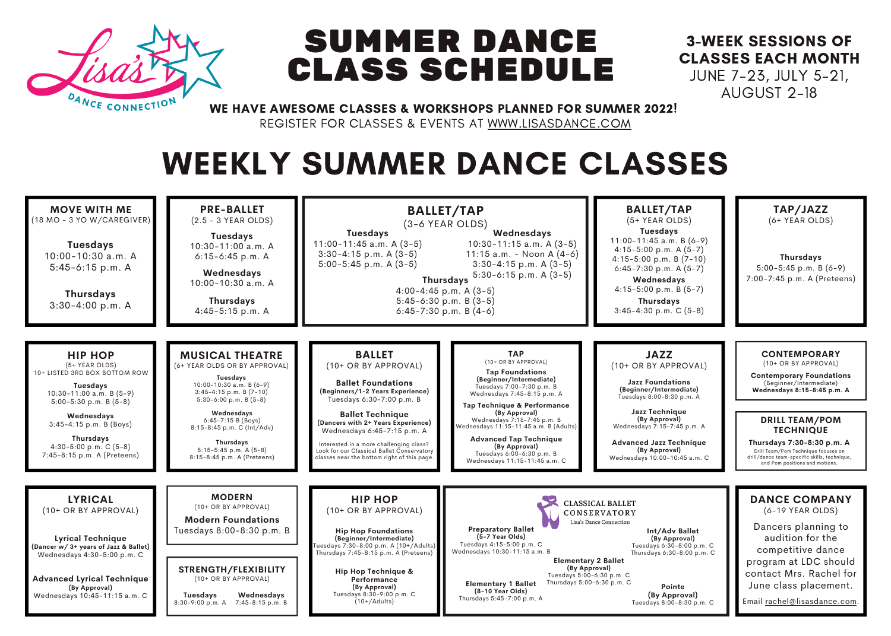

## SUMMER DANCE CLASS SCHEDULE

## 3-WEEK SESSIONS OF CLASSES EACH MONTH JUNE 7-23, JULY 5-21,

AUGUST 2-18

WE HAVE AWESOME CLASSES & WORKSHOPS PLANNED FOR SUMMER 2022!

REGISTER FOR CLASSES & EVENTS AT WWW.LISASDANCE.COM

## WEEKLY SUMMER DANCE CLASSES